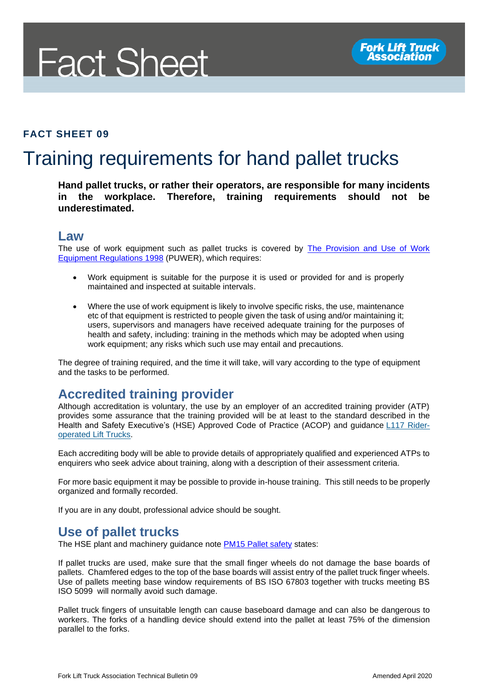# **Fact Sheet**

#### **FACT SHEET 09**

## Training requirements for hand pallet trucks

**Hand pallet trucks, or rather their operators, are responsible for many incidents in the workplace. Therefore, training requirements should not be underestimated.** 

#### **Law**

The use of work equipment such as pallet trucks is covered by [The Provision and Use of Work](http://www.legislation.gov.uk/uksi/1998/2306/contents/made)  [Equipment Regulations 1998](http://www.legislation.gov.uk/uksi/1998/2306/contents/made) (PUWER), which requires:

- Work equipment is suitable for the purpose it is used or provided for and is properly maintained and inspected at suitable intervals.
- Where the use of work equipment is likely to involve specific risks, the use, maintenance etc of that equipment is restricted to people given the task of using and/or maintaining it; users, supervisors and managers have received adequate training for the purposes of health and safety, including: training in the methods which may be adopted when using work equipment; any risks which such use may entail and precautions.

The degree of training required, and the time it will take, will vary according to the type of equipment and the tasks to be performed.

### **Accredited training provider**

Although accreditation is voluntary, the use by an employer of an accredited training provider (ATP) provides some assurance that the training provided will be at least to the standard described in the Health and Safety Executive's (HSE) Approved Code of Practice (ACOP) and guidance [L117 Rider](http://www.hse.gov.uk/pUbns/priced/l117.pdf)[operated Lift Trucks.](http://www.hse.gov.uk/pUbns/priced/l117.pdf)

Each accrediting body will be able to provide details of appropriately qualified and experienced ATPs to enquirers who seek advice about training, along with a description of their assessment criteria.

For more basic equipment it may be possible to provide in-house training. This still needs to be properly organized and formally recorded.

If you are in any doubt, professional advice should be sought.

#### **Use of pallet trucks**

The HSE plant and machinery guidance note [PM15 Pallet safety](https://www.hse.gov.uk/pubns/pm15.pdf) states:

If pallet trucks are used, make sure that the small finger wheels do not damage the base boards of pallets. Chamfered edges to the top of the base boards will assist entry of the pallet truck finger wheels. Use of pallets meeting base window requirements of BS ISO 67803 together with trucks meeting BS ISO 5099 will normally avoid such damage.

Pallet truck fingers of unsuitable length can cause baseboard damage and can also be dangerous to workers. The forks of a handling device should extend into the pallet at least 75% of the dimension parallel to the forks.